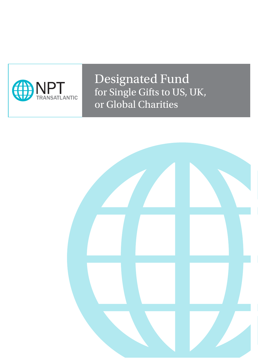

Designated Fund for Single Gifts to US, UK, or Global Charities

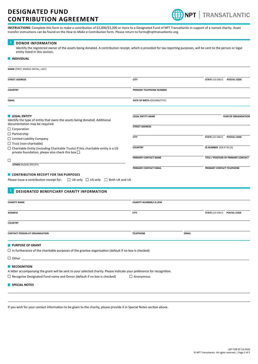

**INSTRUCTIONS:** Complete this form to make a contribution of £2,000/\$3,200 or more to a Designated Fund of NPT Transatlantic in support of a named charity. Asset transfer instructions can be found on the *How to Make a Contribution* form. Please return to forms@npttransatlantic.org.

#### **DONOR INFORMATION 1**

Identify the registered owner of the assets being donated. A contribution receipt, which is provided for tax reporting purposes, will be sent to the person or legal entity listed in this section.

#### $\blacksquare$  **INDIVIDUAL**

| NAME (FIRST, MIDDLE INITIAL, LAST)                                                                                                                                                      |                                |              |                             |                                     |
|-----------------------------------------------------------------------------------------------------------------------------------------------------------------------------------------|--------------------------------|--------------|-----------------------------|-------------------------------------|
| <b>STREET ADDRESS</b>                                                                                                                                                                   | <b>CITY</b>                    |              | STATE (US ONLY) POSTAL CODE |                                     |
| <b>COUNTRY</b>                                                                                                                                                                          | PRIMARY TELEPHONE NUMBER       |              |                             |                                     |
| <b>EMAIL</b>                                                                                                                                                                            | DATE OF BIRTH (DD/MM/YYYY)     |              |                             |                                     |
|                                                                                                                                                                                         |                                |              |                             |                                     |
| <b>LEGAL ENTITY</b><br>Identify the type of entity that owns the assets being donated. Additional<br>documentation may be required.                                                     | <b>LEGAL ENTITY NAME</b>       |              |                             | YEAR OF ORGANISATION                |
| $\Box$ Corporation<br>$\Box$ Partnership                                                                                                                                                | <b>STREET ADDRESS</b>          |              |                             |                                     |
| $\Box$ Limited Liability Company                                                                                                                                                        | <b>CITY</b>                    |              | <b>STATE (US ONLY)</b>      | POSTAL CODE                         |
| $\Box$ Trust (non-charitable)<br>$\Box$ Charitable Entity (including Charitable Trusts) If this charitable entity is a US<br>private foundation, please also check this box $\square$ . | <b>COUNTRY</b>                 |              | ID NUMBER (EIN IF IN US)    |                                     |
| □                                                                                                                                                                                       | PRIMARY CONTACT NAME           |              |                             | TITLE / POSITION OF PRIMARY CONTACT |
| <b>OTHER (PLEASE SPECIFY)</b>                                                                                                                                                           | PRIMARY CONTACT EMAIL          |              | PRIMARY CONTACT TELEPHONE   |                                     |
| CONTRIBUTION RECEIPT FOR TAX PURPOSES                                                                                                                                                   |                                |              |                             |                                     |
| $\Box$ UK only $\Box$ US only $\Box$ Both UK and US<br>Please issue a contribution receipt for:                                                                                         |                                |              |                             |                                     |
|                                                                                                                                                                                         |                                |              |                             |                                     |
| $\overline{2}$<br><b>DESIGNATED BENEFICIARY CHARITY INFORMATION</b>                                                                                                                     |                                |              |                             |                                     |
| <b>CHARITY NAME</b>                                                                                                                                                                     | <b>CHARITY NUMBER/I.D./EIN</b> |              |                             |                                     |
| <b>ADDRESS</b>                                                                                                                                                                          | <b>CITY</b>                    |              | STATE (US ONLY) POSTAL CODE |                                     |
| <b>COUNTRY</b>                                                                                                                                                                          |                                |              |                             |                                     |
| <b>CONTACT PERSON AT ORGANISATION</b>                                                                                                                                                   | <b>TELEPHONE</b>               | <b>EMAIL</b> |                             |                                     |
| <b>PURPOSE OF GRANT</b>                                                                                                                                                                 |                                |              |                             |                                     |
| $\Box$ In furtherance of the charitable purposes of the grantee organisation (default if no box is checked)                                                                             |                                |              |                             |                                     |
| $\Box$ Other                                                                                                                                                                            |                                |              |                             |                                     |
| RECOGNITION<br>A letter accompanying the grant will be sent to your selected charity. Please indicate your preference for recognition.                                                  |                                |              |                             |                                     |
| $\Box$ Recognise Designated Fund name and Donor (default if no box is checked)                                                                                                          | $\Box$ Anonymous               |              |                             |                                     |
| SPECIAL NOTES                                                                                                                                                                           |                                |              |                             |                                     |
|                                                                                                                                                                                         |                                |              |                             |                                     |
|                                                                                                                                                                                         |                                |              |                             |                                     |

If you wish for your contact information to be given to the charity, please provide it in Special Notes section above.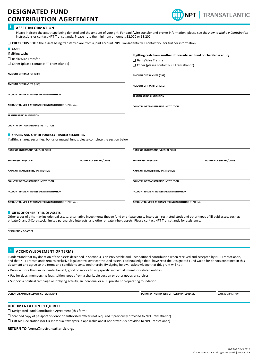

#### **ASSET INFORMATION 3**

**CASH**

Please indicate the asset type being donated and the amount of your gift. For bank/wire transfer and broker information, please see the *How to Make a Contribution* instructions or contact NPT Transatlantic. Please note the minimum amount is £2,000 or \$3,200.

| □ CHECK THIS BOX if the assets being transferred are from a joint account. NPT Transatlantic will contact you for further information |
|---------------------------------------------------------------------------------------------------------------------------------------|
|---------------------------------------------------------------------------------------------------------------------------------------|

| ш саэн                                                       |                                                                                          |                                            |                                                                       |  |  |  |
|--------------------------------------------------------------|------------------------------------------------------------------------------------------|--------------------------------------------|-----------------------------------------------------------------------|--|--|--|
| If gifting cash:                                             |                                                                                          |                                            | If gifting cash from another donor-advised fund or charitable entity: |  |  |  |
| □ Bank/Wire Transfer                                         |                                                                                          | $\Box$ Bank/Wire Transfer                  |                                                                       |  |  |  |
| $\Box$ Other (please contact NPT Transatlantic)              |                                                                                          |                                            | $\Box$ Other (please contact NPT Transatlantic)                       |  |  |  |
| <b>AMOUNT OF TRANSFER (GBP)</b>                              |                                                                                          | <b>AMOUNT OF TRANSFER (GBP)</b>            |                                                                       |  |  |  |
| AMOUNT OF TRANSFER (USD)                                     |                                                                                          | AMOUNT OF TRANSFER (USD)                   |                                                                       |  |  |  |
| ACCOUNT NAME AT TRANSFERRING INSTITUTION                     |                                                                                          | <b>TRANSFERRING INSTITUTION</b>            |                                                                       |  |  |  |
|                                                              | ACCOUNT NUMBER AT TRANSFERRING INSTITUTION (OPTIONAL)                                    |                                            | <b>COUNTRY OF TRANSFERRING INSTITUTION</b>                            |  |  |  |
| <b>TRANSFERRING INSTITUTION</b>                              |                                                                                          |                                            |                                                                       |  |  |  |
| <b>COUNTRY OF TRANSFERRING INSTITUTION</b>                   |                                                                                          |                                            |                                                                       |  |  |  |
| SHARES AND OTHER PUBLICLY TRADED SECURITIES                  |                                                                                          |                                            |                                                                       |  |  |  |
|                                                              | If gifting shares, securities, bonds or mutual funds, please complete the section below. |                                            |                                                                       |  |  |  |
| NAME OF STOCK/BOND/MUTUAL FUND                               |                                                                                          | NAME OF STOCK/BOND/MUTUAL FUND             |                                                                       |  |  |  |
| SYMBOL/SEDOL/CUSIP                                           | <b>NUMBER OF SHARES/UNITS</b>                                                            | SYMBOL/SEDOL/CUSIP                         | <b>NUMBER OF SHARES/UNITS</b>                                         |  |  |  |
| NAME OF TRANSFERRING INSTITUTION                             |                                                                                          | <b>NAME OF TRANSFERRING INSTITUTION</b>    |                                                                       |  |  |  |
| <b>COUNTRY OF TRANSFERRING INSTITUTION</b>                   |                                                                                          | <b>COUNTRY OF TRANSFERRING INSTITUTION</b> |                                                                       |  |  |  |
| ACCOUNT NAME AT TRANSFERRING INSTITUTION                     |                                                                                          |                                            | ACCOUNT NAME AT TRANSFERRING INSTITUTION                              |  |  |  |
| <b>ACCOUNT NUMBER AT TRANSFERRING INSTITUTION (OPTIONAL)</b> |                                                                                          |                                            | ACCOUNT NUMBER AT TRANSFERRING INSTITUTION (OPTIONAL)                 |  |  |  |

#### **GIFTS OF OTHER TYPES OF ASSETS**

Other types of gifts may include real estate, alternative investments (hedge fund or private equity interests), restricted stock and other types of illiquid assets such as private C- and S-Corp stock, limited partnership interests, and other privately-held assets. Please contact NPT Transatlantic for assistance.

**DESCRIPTION OF ASSET**

#### **ACKNOWLEDGEMENT OF TERMS 4**

I understand that my donation of the assets described in Section 3 is an irrevocable and unconditional contribution when received and accepted by NPT Transatlantic, and that NPT Transatlantic retains exclusive legal control over contributed assets. I acknowledge that I have read the Designated Fund Guide for donors contained in this document and agree to the terms and conditions contained therein. By signing below, I acknowledge that this grant will not:

- Provide more than an incidental benefit, good or service to any specific individual, myself or related entities.
- Pay for dues, membership fees, tuition, goods from a charitable auction or other goods or services.
- Support a political campaign or lobbying activity, an individual or a US private non-operating foundation.

**DONOR OR AUTHORISED OFFICER SIGNATURE DESCRIPTION ASSESSED AT A BOOD OR AUTHORISED OFFICER PRINTED NAME <b>DATE DATE DONOR** MAY **DATE** 

#### **DOCUMENTATION REQUIRED**

- Designated Fund Contribution Agreement (this form)
- $\Box$  Scanned copy of passport of donor or authorised officer (not required if previously provided to NPT Transatlantic)
- $\Box$  Gift Aid Declaration (for UK Individual taxpayers, if applicable and if not previously provided to NPT Transatlantic)

#### **RETURN TO forms@npttransatlantic.org.**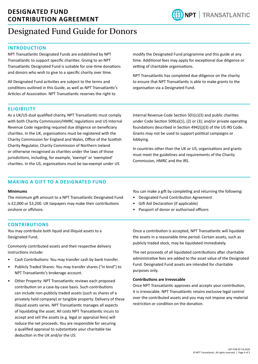

# Designated Fund Guide for Donors

# **INTRODUCTION**

NPT Transatlantic Designated Funds are established by NPT Transatlantic to support specific charities. Giving to an NPT Transatlantic Designated Fund is suitable for one-time donations and donors who wish to give to a specific charity over time.

All Designated Fund activities are subject to the terms and conditions outlined in this Guide, as well as NPT Transatlantic's Articles of Association. NPT Transatlantic reserves the right to

modify the Designated Fund programme and this guide at any time. Additional fees may apply for exceptional due diligence or vetting of charitable organisations.

NPT Transatlantic has completed due diligence on the charity to ensure that NPT Transatlantic is able to make grants to the organisation via a Designated Fund.

## **ELIGIBILITY**

As a UK/US dual qualified charity, NPT Transatlantic must comply with both Charity Commission/HMRC regulations and US Internal Revenue Code regarding required due diligence on beneficiary charities. In the UK, organisations must be registered with the Charity Commission for England and Wales, Office of the Scottish Charity Regulator, Charity Commission of Northern Ireland or otherwise recognised as charities under the laws of those jurisdictions, including, for example, 'exempt' or 'exempted' charities. In the US, organisations must be tax-exempt under US

Internal Revenue Code Section 501(c)(3) and public charities under Code Section 509(a)(1), (2) or (3); and/or private operating foundations described in Section 4942(j)(3) of the US IRS Code. Grants may not be used to support political campaigns or lobbying.

In countries other than the UK or US, organisations and grants must meet the guidelines and requirements of the Charity Commission, HMRC and the IRS.

# **MAKING A GIFT TO A DESIGNATED FUND**

#### **Minimums**

The minimum gift amount to a NPT Transatlantic Designated Fund is £2,000 or \$3,200. UK taxpayers may make their contributions onshore or offshore.

You can make a gift by completing and returning the following:

- Designated Fund Contribution Agreement
- Gift Aid Declaration (if applicable)
- Passport of donor or authorised officers

# **CONTRIBUTIONS**

You may contribute both liquid and illiquid assets to a Designated Fund.

Commonly contributed assets and their respective delivery instructions include:

- Cash Contributions: You may transfer cash by bank transfer.
- Publicly Traded Shares: You may transfer shares ("in kind") to NPT Transatlantic's brokerage account.
- Other Property: NPT Transatlantic reviews each proposed contribution on a case-by-case basis. Such contributions can include non-publicly traded assets (such as shares of a privately held company) or tangible property. Delivery of these illiquid assets varies. NPT Transatlantic manages all aspects of liquidating the asset. All costs NPT Transatlantic incurs to accept and sell the assets (e.g. legal or appraisal fees) will reduce the net proceeds. You are responsible for securing a qualified appraisal to substantiate your charitable tax deduction in the UK and/or the US.

Once a contribution is accepted, NPT Transatlantic will liquidate the assets in a reasonable time period. Certain assets, such as publicly traded stock, may be liquidated immediately.

The net proceeds of all liquidated contributions after charitable administrative fees are added to the asset value of the Designated Fund. Designated Fund assets are intended for charitable purposes only.

### **Contributions are Irrevocable**

Once NPT Transatlantic approves and accepts your contribution, it is irrevocable. NPT Transatlantic retains exclusive legal control over the contributed assets and you may not impose any material restriction or condition on the donation.